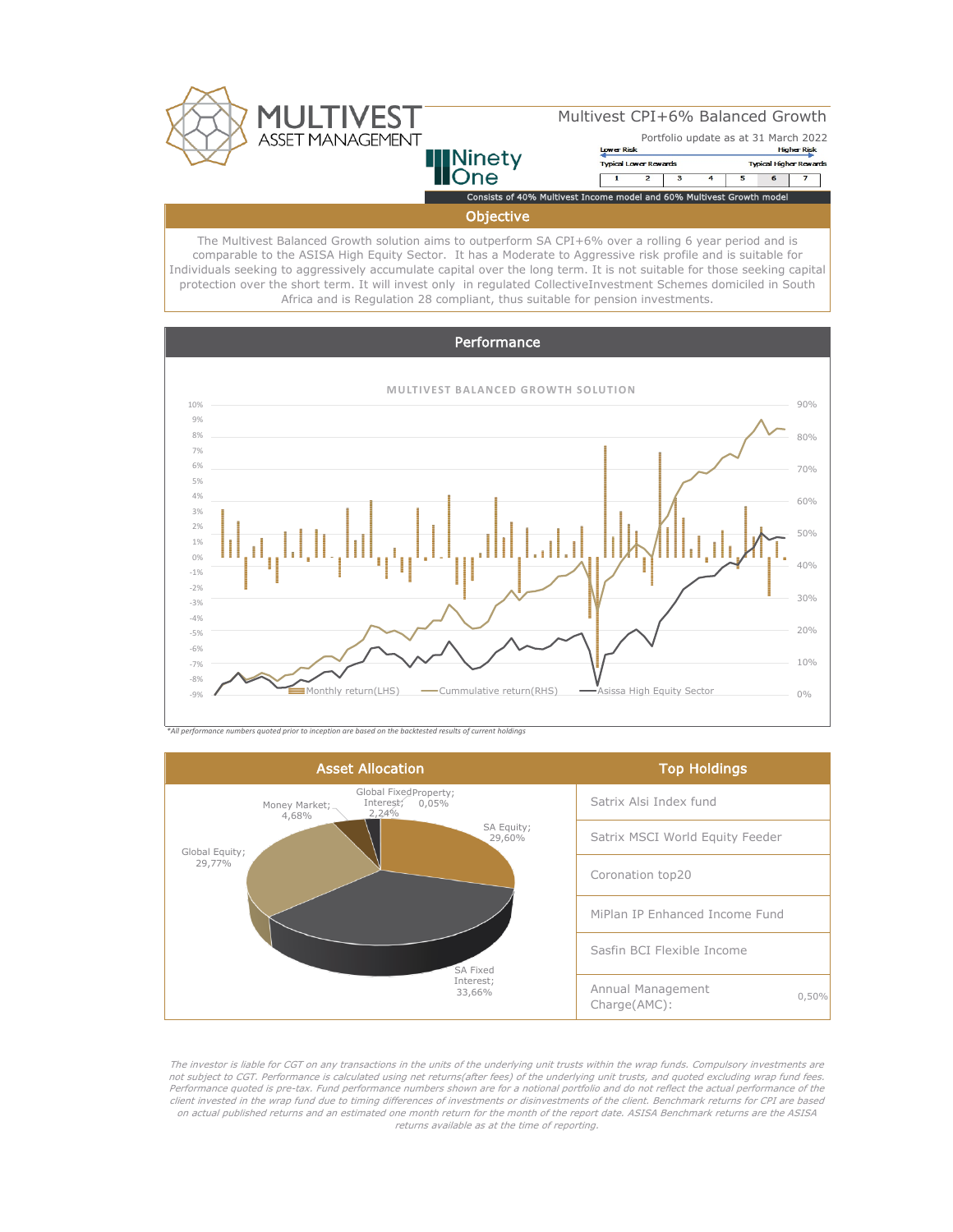

## Multivest CPI+6% Balanced Growth

# **Ninety** )ne

#### Portfolio update as at 31 March 2022 **Lower Risk Higher Risk** Typical Lower Rewards **Typical Higher Rewards**  $\overline{1}$

 $\overline{6}$ Consists of 40% Multivest Income model and 60% Multivest Growth model

**Objective** 

The Multivest Balanced Growth solution aims to outperform SA CPI+6% over a rolling 6 year period and is comparable to the ASISA High Equity Sector. It has a Moderate to Aggressive risk profile and is suitable for Individuals seeking to aggressively accumulate capital over the long term. It is not suitable for those seeking capital protection over the short term. It will invest only in regulated CollectiveInvestment Schemes domiciled in South Africa and is Regulation 28 compliant, thus suitable for pension investments.



*\*All performance numbers quoted prior to inception are based on the backtested results of current holdings*



The investor is liable for CGT on any transactions in the units of the underlying unit trusts within the wrap funds. Compulsory investments are not subject to CGT. Performance is calculated using net returns(after fees) of the underlying unit trusts, and quoted excluding wrap fund fees. Performance quoted is pre-tax. Fund performance numbers shown are for a notional portfolio and do not reflect the actual performance of the client invested in the wrap fund due to timing differences of investments or disinvestments of the client. Benchmark returns for CPI are based on actual published returns and an estimated one month return for the month of the report date. ASISA Benchmark returns are the ASISA returns available as at the time of reporting.